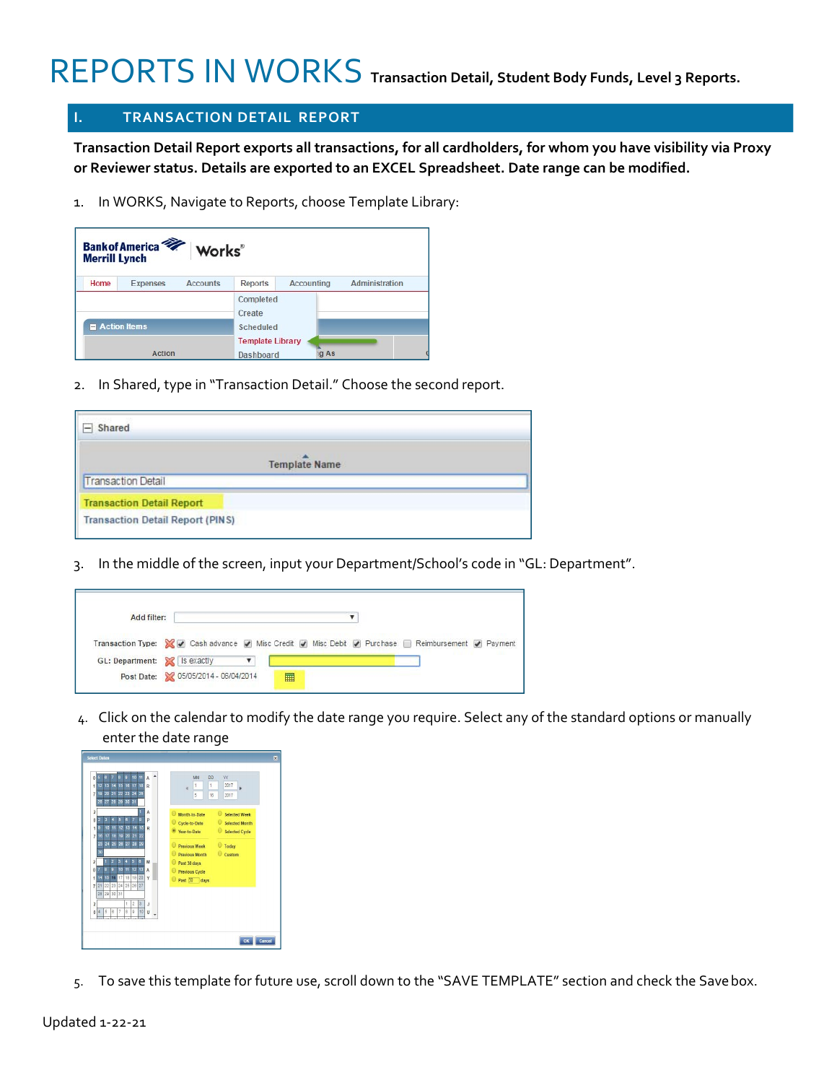# REPORTS IN WORKS **Transaction Detail, Student Body Funds, Level 3 Reports.**

#### **I. TRANSACTION DETAIL REPORT**

**Transaction Detail Report exports all transactions, for all cardholders, for whom you have visibility via Proxy or Reviewer status. Details are exported to an EXCEL Spreadsheet. Date range can be modified.**

1. In WORKS, Navigate to Reports, choose Template Library:

| <b>Merrill Lynch</b>        | Bank of America <sup>7</sup> Works |                 |                         |            |                |
|-----------------------------|------------------------------------|-----------------|-------------------------|------------|----------------|
| Home                        | <b>Expenses</b>                    | <b>Accounts</b> | <b>Reports</b>          | Accounting | Administration |
|                             |                                    |                 | Completed<br>Create     |            |                |
| $\blacksquare$ Action items |                                    |                 | <b>Scheduled</b>        |            |                |
|                             |                                    |                 | <b>Template Library</b> |            |                |
|                             | Action                             |                 | Dashboard               | g As       |                |

2. In Shared, type in "Transaction Detail." Choose the second report.

| Shared                                  |  |
|-----------------------------------------|--|
| <b>Template Name</b>                    |  |
| <b>Transaction Detail</b>               |  |
| <b>Transaction Detail Report</b>        |  |
| <b>Transaction Detail Report (PINS)</b> |  |

3. In the middle of the screen, input your Department/School's code in "GL: Department".

| Add filter:                  |                                                                                                  |
|------------------------------|--------------------------------------------------------------------------------------------------|
|                              | Transaction Type: V v Cash advance v Misc Credit v Misc Debit v Purchase Reimbursement v Payment |
| GL: Department: X Is exactly |                                                                                                  |
|                              | Post Date: 3 05/05/2014 - 06/04/2014<br>扁                                                        |

4. Click on the calendar to modify the date range you require. Select any of the standard options or manually enter the date range

| o                       | 5               | A                       | 7              | $\mathbf{a}$         | ö                       | 10             | 11                  | A              |                      | MM | DD |   | YY             |                       |
|-------------------------|-----------------|-------------------------|----------------|----------------------|-------------------------|----------------|---------------------|----------------|----------------------|----|----|---|----------------|-----------------------|
| ł                       | 12 <sub>2</sub> | 13                      |                | 14 15                | 16                      | 17             | 18                  | $\mathbb{R}$   | 1                    |    | 1  |   | 2017           |                       |
| 7                       | 19 <sup>°</sup> | 20 <sub>2</sub>         |                | 21 22                |                         | 23 24          | 25                  |                | 5                    |    | 16 |   | 2017           |                       |
|                         | 26              |                         |                | 27 28 29 30 31       |                         |                |                     |                |                      |    |    |   |                |                       |
| $\overline{c}$          |                 |                         |                |                      |                         |                |                     | A              | Month-to-Date        |    |    | Θ |                | <b>Selected Week</b>  |
| $\theta$                |                 | $\overline{\mathbf{3}}$ | 4              | 5                    | в                       | 7              | ä                   | p              | Cycle-to-Date        |    |    | ω |                | <b>Selected Month</b> |
| ۹                       |                 | 10 <sup>1</sup>         | 11             | 12                   |                         | 13 14 15       |                     | R              | ● Year-to-Date       |    |    |   |                | Selected Cycle        |
| $\overline{7}$          | 18              | 17                      |                | 18 19 20 21 22       |                         |                |                     |                |                      |    |    |   |                |                       |
|                         |                 |                         |                | 23 24 25 26 27 28 29 |                         |                |                     |                | <b>Previous Week</b> |    |    |   | <b>O</b> Today |                       |
|                         | 30              |                         |                |                      |                         |                |                     |                | Previous Month       |    |    |   | Custom         |                       |
| $\overline{\mathbf{z}}$ |                 |                         | $\overline{a}$ | $\overline{3}$       | 4                       | $\overline{5}$ | $\ddot{\mathbf{e}}$ | M              | 0<br>Past 30 days    |    |    |   |                |                       |
| $\theta$                | 7               | Ä                       | $\overline{ }$ | 10                   | $\overline{\mathbf{H}}$ | 12             | 13                  | A              | Previous Cycle       |    |    |   |                |                       |
| $\overline{1}$          | 14              |                         | 15 16 17       |                      |                         | 18 19          | 20                  | Y              | Past 30 days         |    |    |   |                |                       |
| 7                       | 21              | $^{22}$                 | 23 24          |                      |                         | 25 26 27       |                     |                |                      |    |    |   |                |                       |
|                         |                 |                         | 28 29 30 31    |                      |                         |                |                     |                |                      |    |    |   |                |                       |
| $\overline{c}$          |                 |                         |                |                      | ł                       | $\overline{2}$ | $\overline{3}$      | J.             |                      |    |    |   |                |                       |
| Ō                       | A               | R                       | 6              | 7                    | 8                       | ø              | 10                  | $\overline{u}$ |                      |    |    |   |                |                       |
|                         |                 |                         |                |                      |                         |                |                     |                |                      |    |    |   |                |                       |
|                         |                 |                         |                |                      |                         |                |                     |                |                      |    |    |   |                |                       |

5. To save this template for future use, scroll down to the "SAVE TEMPLATE" section and check the Savebox.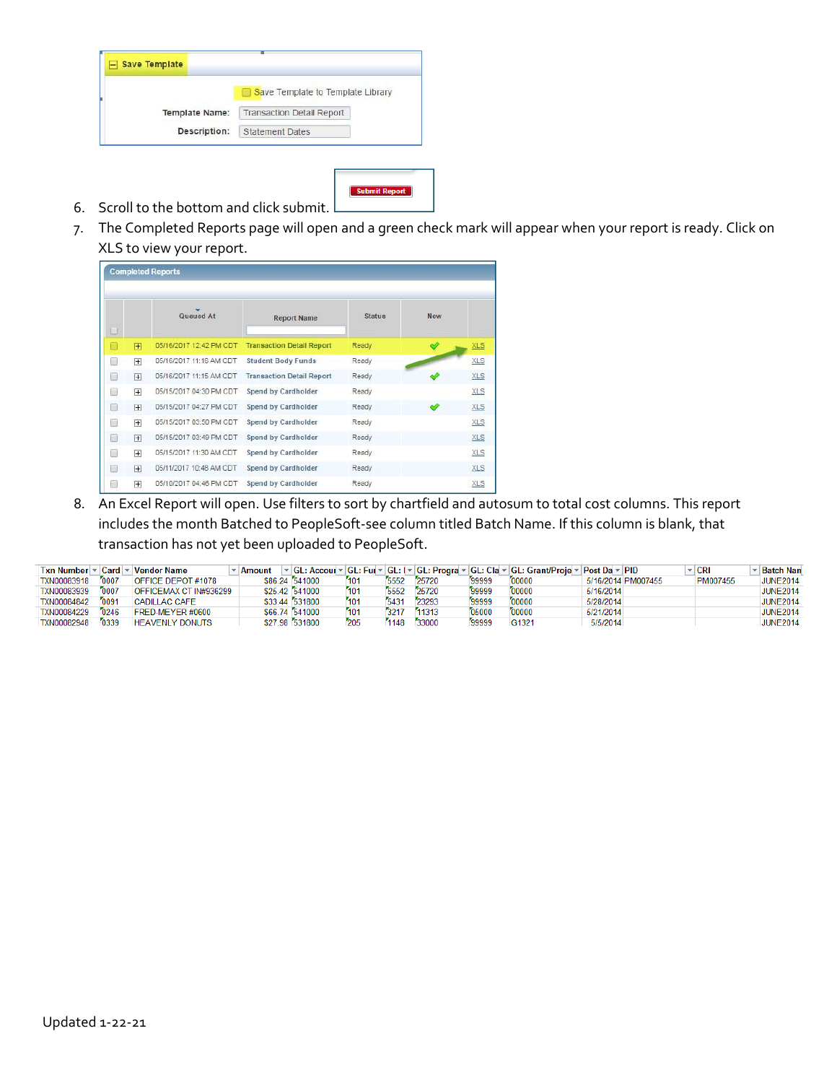| <b>Save Template</b>  |                                   |
|-----------------------|-----------------------------------|
|                       | Save Template to Template Library |
| <b>Template Name:</b> | <b>Transaction Detail Report</b>  |
| Description:          | <b>Statement Dates</b>            |

- **Submit Report**
- 6. Scroll to the bottom and click submit.
- 7. The Completed Reports page will open and a green check mark will appear when your report is ready. Click on XLS to view your report.

|    | <b>Completed Reports</b> |                         |                                  |               |            |            |  |  |  |  |  |
|----|--------------------------|-------------------------|----------------------------------|---------------|------------|------------|--|--|--|--|--|
|    |                          | Queued At               | <b>Report Name</b>               | <b>Status</b> | <b>New</b> |            |  |  |  |  |  |
| □  | $\overline{+}$           | 05/16/2017 12:42 PM CDT | <b>Transaction Detail Report</b> | Ready         |            | <b>XLS</b> |  |  |  |  |  |
| 1  | $\overline{+}$           | 05/16/2017 11:16 AM CDT | <b>Student Body Funds</b>        | Ready         |            | <b>XLS</b> |  |  |  |  |  |
|    | $\overline{+}$           | 05/16/2017 11:15 AM CDT | <b>Transaction Detail Report</b> | Ready         |            | <b>XLS</b> |  |  |  |  |  |
| L  | $\overline{+}$           | 05/15/2017 04:30 PM CDT | Spend by Cardholder              | Ready         |            | <b>XLS</b> |  |  |  |  |  |
| г  | $\overline{+}$           | 05/15/2017 04:27 PM CDT | Spend by Cardholder              | Ready         |            | <b>XLS</b> |  |  |  |  |  |
| 1. | $\overline{+}$           | 05/15/2017 03:50 PM CDT | Spend by Cardholder              | Ready         |            | <b>XLS</b> |  |  |  |  |  |
| ۰  | $\overline{+}$           | 05/15/2017 03:49 PM CDT | Spend by Cardholder              | Ready         |            | <b>XLS</b> |  |  |  |  |  |
|    | $\overline{+}$           | 05/15/2017 11:30 AM CDT | Spend by Cardholder              | Ready         |            | <b>XLS</b> |  |  |  |  |  |
|    | $\overline{+}$           | 05/11/2017 10:48 AM CDT | Spend by Cardholder              | Ready         |            | <b>XLS</b> |  |  |  |  |  |
|    | $\overline{+}$           | 05/10/2017 04:46 PM CDT | Spend by Cardholder              | Ready         |            | <b>XLS</b> |  |  |  |  |  |

8. An Excel Report will open. Use filters to sort by chartfield and autosum to total cost columns. This report includes the month Batched to PeopleSoft-see column titled Batch Name. If this column is blank, that transaction has not yet been uploaded to PeopleSoft.

| <b>Txn Number</b>  | Card | <b>Vendor Name</b>     | Amount |                |      |      |       |        | ▼ GL: Accoul ▼ GL: Ful ▼ GL: [▼ GL: Progra ▼ GL: Cla ▼ GL: Grant/Proje ▼ | Post Da - PID |                    | <b>CRI</b> | Batch Nan       |
|--------------------|------|------------------------|--------|----------------|------|------|-------|--------|--------------------------------------------------------------------------|---------------|--------------------|------------|-----------------|
| TXN00083918        | 0007 | OFFICE DEPOT #1078     |        | \$86,24 541000 | 7101 | 5552 | 25720 | '99999 | 00000                                                                    |               | 5/16/2014 PM007455 | PM007455   | <b>JUNE2014</b> |
| TXN00083939        | 0007 | OFFICEMAX CT IN#936299 |        | \$25.42 541000 | 101  | 5552 | 25720 | 99999  | 00000                                                                    | 5/16/2014     |                    |            | <b>JUNE2014</b> |
| <b>TXN00084842</b> | 0091 | <b>CADILLAC CAFE</b>   |        | \$33.44 531800 | 7101 | 5431 | 23293 | 99999  | 00000                                                                    | 5/28/2014     |                    |            | <b>JUNE2014</b> |
| <b>TXN00084229</b> | 0246 | FRED-MEYER #0600       |        | \$66.74 541000 | 101  | 3217 | 11313 | 05000  | 00000                                                                    | 5/21/2014     |                    |            | <b>JUNE2014</b> |
| <b>TXN00082948</b> | 0339 | <b>HEAVENLY DONUTS</b> |        | \$27.98 531800 | 205  | 1148 | 33000 | 99999  | G1321                                                                    | 5/5/2014      |                    |            | <b>JUNE2014</b> |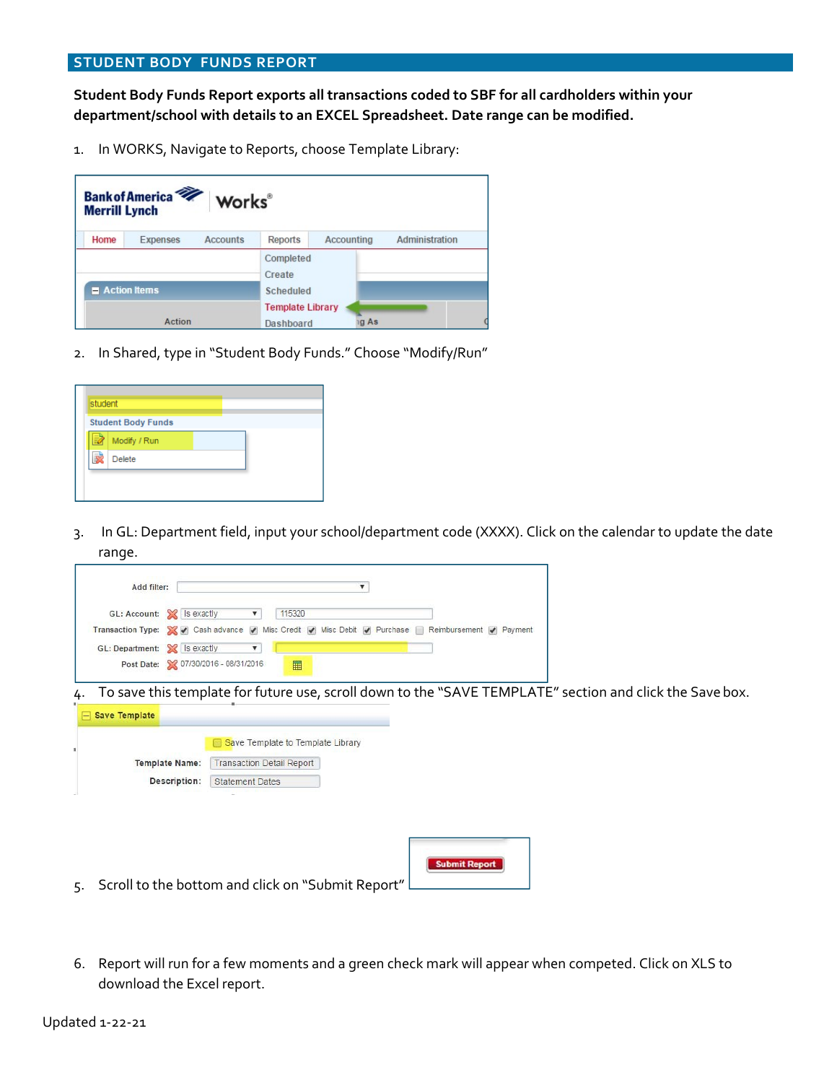**Student Body Funds Report exports all transactions coded to SBF for all cardholders within your department/school with details to an EXCEL Spreadsheet. Date range can be modified.**

1. In WORKS, Navigate to Reports, choose Template Library:

|                             | <b>Bank of America</b><br>Works®<br><b>Merrill Lynch</b> |                                         |            |                |  |  |  |  |  |  |  |
|-----------------------------|----------------------------------------------------------|-----------------------------------------|------------|----------------|--|--|--|--|--|--|--|
| Home                        | <b>Accounts</b><br>Expenses                              | <b>Reports</b>                          | Accounting | Administration |  |  |  |  |  |  |  |
| $\blacksquare$ Action Items |                                                          | Completed<br>Create<br><b>Scheduled</b> |            |                |  |  |  |  |  |  |  |
|                             | Action                                                   | <b>Template Library</b><br>Dashboard    | ig As      |                |  |  |  |  |  |  |  |

2. In Shared, type in "Student Body Funds." Choose "Modify/Run"

| <b>Student Body Funds</b> |  |  |
|---------------------------|--|--|
| Modify / Run              |  |  |
| <b>Delete</b>             |  |  |

3. In GL: Department field, input your school/department code (XXXX). Click on the calendar to update the date range.

| Add filter:                  |                                                                                                  |
|------------------------------|--------------------------------------------------------------------------------------------------|
|                              | GL: Account: X Is exactly<br>115320                                                              |
|                              | Transaction Type: V v Cash advance v Misc Credit v Misc Debit v Purchase Reimbursement v Payment |
| GL: Department: X Is exactly |                                                                                                  |
|                              | Post Date: 2 07/30/2016 - 08/31/2016<br>▦                                                        |

4. To save this template for future use, scroll down to the "SAVE TEMPLATE" section and click the Save box.

|                       | Save Template to Template Library |  |
|-----------------------|-----------------------------------|--|
| <b>Template Name:</b> | <b>Transaction Detail Report</b>  |  |
| Description:          | <b>Statement Dates</b>            |  |
|                       |                                   |  |
|                       |                                   |  |
|                       |                                   |  |
|                       |                                   |  |
|                       |                                   |  |

6. Report will run for a few moments and a green check mark will appear when competed. Click on XLS to download the Excel report.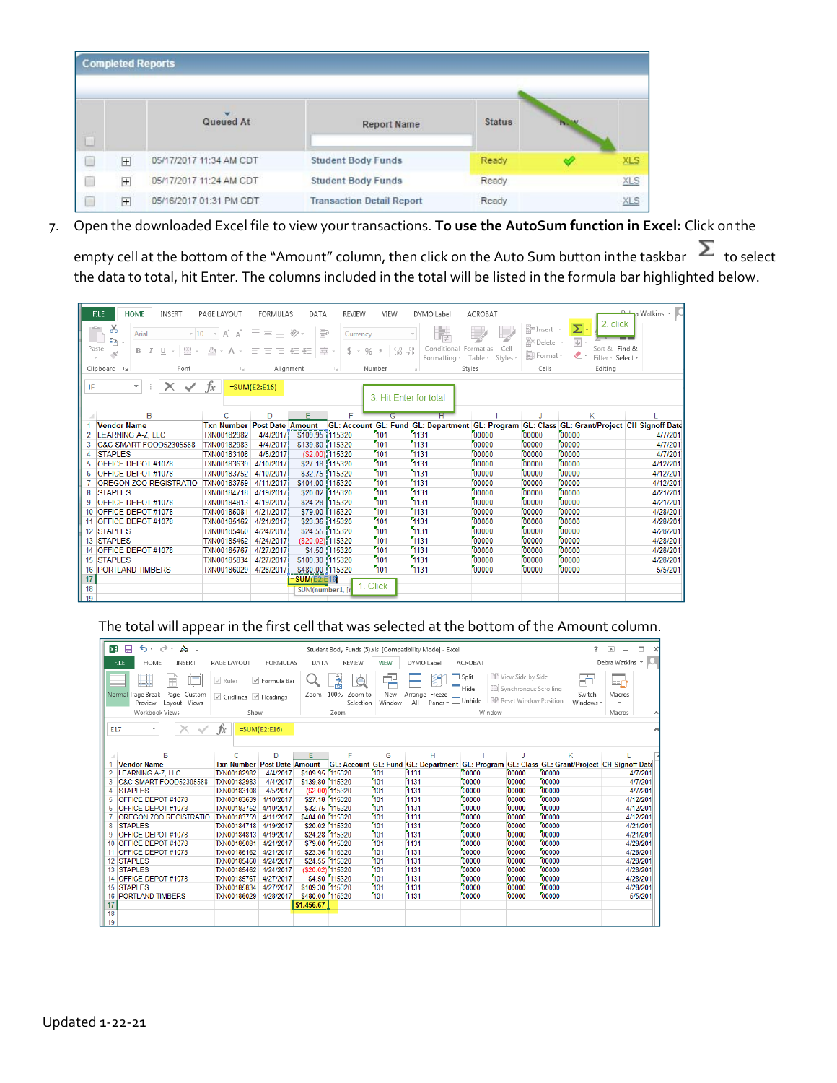|        |                | <b>Completed Reports</b> |                                  |               |             |            |
|--------|----------------|--------------------------|----------------------------------|---------------|-------------|------------|
| $\Box$ |                | Queued At                | <b>Report Name</b>               | <b>Status</b> | <b>INC.</b> |            |
|        | 田              | 05/17/2017 11:34 AM CDT  | <b>Student Body Funds</b>        | Ready         |             | <b>XLS</b> |
| n      | $\overline{+}$ | 05/17/2017 11:24 AM CDT  | <b>Student Body Funds</b>        | Ready         |             | <b>XLS</b> |
|        | 田              | 05/16/2017 01:31 PM CDT  | <b>Transaction Detail Report</b> | Ready         |             | <b>XLS</b> |

7. Open the downloaded Excel file to view your transactions. **To use the AutoSum function in Excel:** Click onthe

empty cell at the bottom of the "Amount" column, then click on the Auto Sum button inthe taskbar  $\sum$  to select the data to total, hit Enter. The columns included in the total will be listed in the formula bar highlighted below.

|    | <b>HOME</b><br><b>INSERT</b><br><b>FILE</b>                                                   | PAGE LAYOUT                            | <b>FORMULAS</b>       | DATA                                      | <b>REVIEW</b>                      | VIEW                              | DYMO Label                  | ACROBAT                      |                                       |                                                                                                        | a Watkins - C |
|----|-----------------------------------------------------------------------------------------------|----------------------------------------|-----------------------|-------------------------------------------|------------------------------------|-----------------------------------|-----------------------------|------------------------------|---------------------------------------|--------------------------------------------------------------------------------------------------------|---------------|
|    | X<br>$\overline{\mathbb{D}}$<br>Arial<br>$-10$<br>Þ<br>Paste<br>FH<br>U<br>В<br>$\mathcal{S}$ | $A^A$ $A^T$<br>$\sim$ $\sim$ $\,$<br>Α | $=$ = $=$<br>도 드<br>三 | 豪<br>87 -<br>$\frac{1}{1-\epsilon}$<br>石油 | Currency<br>$S -$<br>$\frac{0}{0}$ | $^{+0.0}_{-0.0}$<br>$\mathcal{D}$ | Conditional<br>Formatting ~ | Cell<br>Format as<br>Table - | Em Insert *<br>影 Delete *<br>Format v | 2. click<br>Σ۰<br>$\overline{\downarrow\!\!\downarrow}$ -<br>Sort & Find &<br>- ج<br>Filter ~ Select ~ |               |
|    | Clipboard <sub>Is</sub><br>Font                                                               | Б.                                     | Alignment             |                                           | 反                                  | Number                            | Styles<br>51                | Styles -                     | Cells                                 | Editing                                                                                                |               |
|    | $\overline{\phantom{a}}$                                                                      |                                        |                       |                                           |                                    |                                   |                             |                              |                                       |                                                                                                        |               |
| IF | $\times$                                                                                      | fx:                                    | $=$ SUM(E2:E16)       |                                           |                                    | 3. Hit Enter for total            |                             |                              |                                       |                                                                                                        |               |
|    |                                                                                               |                                        |                       |                                           |                                    |                                   |                             |                              |                                       |                                                                                                        |               |
|    | B                                                                                             | C                                      | D                     | E                                         | F                                  | G                                 | н                           |                              | J                                     | К                                                                                                      |               |
|    | <b>Vendor Name</b>                                                                            | <b>Txn Number Post Date Amount</b>     |                       |                                           |                                    |                                   |                             |                              |                                       | GL: Account GL: Fund GL: Department GL: Program GL: Class GL: Grant/Project CH Signoff Date            |               |
|    | <b>LEARNING A-Z, LLC</b>                                                                      | TXN00182982                            | 4/4/2017              | \$109.95 1115320                          |                                    | 101                               | 1131                        | 00000                        | 00000                                 | 00000                                                                                                  | 4/7/201       |
| 3  | C&C SMART FOOD52305588                                                                        | TXN00182983                            | 4/4/2017              | \$139.80 115320                           |                                    | 101                               | 1131                        | 00000                        | 00000                                 | 00000                                                                                                  | 4/7/201       |
| 4  | <b>STAPLES</b>                                                                                | TXN00183108                            | 4/5/2017              |                                           | (\$2.00) 115320                    | 101                               | 1131                        | 00000                        | 00000                                 | 00000                                                                                                  | 4/7/201       |
| 5  | <b>OFFICE DEPOT #1078</b>                                                                     | TXN00183639                            | 4/10/2017             | \$27.18 115320                            |                                    | 101                               | 1131                        | 00000                        | 00000                                 | 00000                                                                                                  | 4/12/201      |
| 6  | OFFICE DEPOT #1078                                                                            | TXN00183752                            | 4/10/2017             | \$32.75 115320                            |                                    | 101                               | 1131                        | 00000                        | 00000                                 | 00000                                                                                                  | 4/12/201      |
|    | OREGON ZOO REGISTRATIO                                                                        | TXN00183759                            | 4/11/2017             | \$404.00 115320                           |                                    | 101                               | 1131                        | 00000                        | 00000                                 | 00000                                                                                                  | 4/12/201      |
| 8  | <b>STAPLES</b>                                                                                | TXN00184718                            | 4/19/2017             | \$20.02 1115320                           |                                    | 101                               | 1131                        | 00000                        | 00000                                 | 00000                                                                                                  | 4/21/201      |
| 9  | <b>OFFICE DEPOT #1078</b>                                                                     | TXN00184813                            | 4/19/2017             | \$24.28 115320                            |                                    | 101                               | 1131                        | 00000                        | 00000                                 | 00000                                                                                                  | 4/21/201      |
| 10 | OFFICE DEPOT #1078                                                                            | <b>TXN00185081</b>                     | 4/21/2017             | \$79.00 115320                            |                                    | 101                               | 1131                        | 00000                        | 00000                                 | 00000                                                                                                  | 4/28/201      |
|    | 11 OFFICE DEPOT #1078                                                                         | <b>TXN00185162</b>                     | 4/21/2017             | \$23.36 115320                            |                                    | 101                               | 1131                        | 00000                        | 00000                                 | 00000                                                                                                  | 4/28/201      |
|    | 12 STAPLES                                                                                    | TXN00185460                            | 4/24/2017             | \$24.55 115320                            |                                    | 101                               | 1131                        | 00000                        | 00000                                 | 00000                                                                                                  | 4/28/201      |
|    | 13 STAPLES                                                                                    | <b>TXN00185462</b>                     | 4/24/2017             | (\$20.02) 115320                          |                                    | 101                               | 1131                        | 00000                        | 00000                                 | 00000                                                                                                  | 4/28/201      |
|    | 14 OFFICE DEPOT #1078                                                                         | <b>TXN00185767</b>                     | 4/27/2017             |                                           | \$4.50 115320                      | 101                               | 1131                        | 00000                        | 00000                                 | 00000                                                                                                  | 4/28/201      |
|    | 15 STAPLES                                                                                    | <b>TXN00185834</b>                     | 4/27/2017             | \$109.30 115320                           |                                    | 101                               | 1131                        | 00000                        | 00000                                 | 00000                                                                                                  | 4/28/201      |
| 16 | <b>PORTLAND TIMBERS</b>                                                                       | TXN00186029                            | 4/28/2017             | \$480.00 1115320                          |                                    | 101                               | 1131                        | 00000                        | 00000                                 | 00000                                                                                                  | 5/5/201       |
| 17 |                                                                                               |                                        |                       | $=$ SUM(E2:E16)                           |                                    |                                   |                             |                              |                                       |                                                                                                        |               |
| 18 |                                                                                               |                                        |                       | SUM(number1, [                            |                                    | 1. Click                          |                             |                              |                                       |                                                                                                        |               |
| 19 |                                                                                               |                                        |                       |                                           |                                    |                                   |                             |                              |                                       |                                                                                                        |               |

## The total will appear in the first cell that was selected at the bottom of the Amount column.

| ちゃっぷっ<br>я<br>×                                             | 2.<br>困<br>Student Body Funds (5).xls [Compatibility Mode] - Excel |                                                       |                                                        |                                                                                                                         |                                                                                             |  |
|-------------------------------------------------------------|--------------------------------------------------------------------|-------------------------------------------------------|--------------------------------------------------------|-------------------------------------------------------------------------------------------------------------------------|---------------------------------------------------------------------------------------------|--|
| <b>FILE</b><br><b>HOME</b><br><b>INSERT</b>                 | <b>FORMULAS</b><br>PAGE LAYOUT                                     | <b>REVIEW</b><br>DATA                                 | <b>VIEW</b><br>DYMO Label                              | <b>ACROBAT</b>                                                                                                          | Debra Watkins *                                                                             |  |
| Normal Page Break<br>Page Custom<br>Layout Views<br>Preview | $\vee$ Ruler<br>√ Formula Bar<br>$\vee$ Gridlines $\vee$ Headings  | $\mathcal{L}$<br>100%<br>Zoom to<br>Zoom<br>Selection | ×<br>New<br>Arrange Freeze<br>Panes +<br>All<br>Window | <b>DD</b> View Side by Side<br>$\Box$ Split<br>[iii] Synchronous Scrolling<br>Hide<br>開 Reset Window Position<br>Unhide | FЬ<br>E,<br>Switch<br>Macros<br>Windows *                                                   |  |
| Workbook Views                                              | Show                                                               | Zoom                                                  |                                                        | Window                                                                                                                  | Macros                                                                                      |  |
| E17<br>$\checkmark$                                         | Ťх<br>$=$ SUM(E2:E16)                                              |                                                       |                                                        |                                                                                                                         |                                                                                             |  |
| B                                                           | D<br>Ċ                                                             | F<br>F                                                | G<br>H                                                 |                                                                                                                         | K                                                                                           |  |
| <b>Vendor Name</b>                                          | <b>Txn Number</b><br><b>Post Date Amount</b>                       |                                                       |                                                        |                                                                                                                         | GL: Account GL: Fund GL: Department GL: Program GL: Class GL: Grant/Project CH Signoff Date |  |
| LEARNING A-Z. LLC                                           | <b>TXN00182982</b><br>4/4/2017                                     | 115320<br>\$109.95                                    | 101<br>1131                                            | 00000<br>00000<br>00000                                                                                                 | 4/7/201                                                                                     |  |
| C&C SMART FOOD52305588<br>3                                 | 4/4/2017<br>TXN00182983                                            | 115320<br>\$139.80                                    | 101<br>1131                                            | 00000<br>00000<br>00000                                                                                                 | 4/7/201                                                                                     |  |
| <b>STAPLES</b><br>4                                         | 4/5/2017<br><b>TXN00183108</b>                                     | (\$2.00) 115320                                       | 101<br>1131                                            | 00000<br>00000<br>00000                                                                                                 | 4/7/201                                                                                     |  |
| OFFICE DEPOT #1078                                          | TXN00183639<br>4/10/2017                                           | \$27.18 115320                                        | 101<br>1131                                            | 00000<br>00000<br>00000                                                                                                 | 4/12/201                                                                                    |  |
| OFFICE DEPOT #1078<br>6                                     | 4/10/2017<br><b>TXN00183752</b>                                    | \$32.75 115320                                        | 101<br>1131                                            | 00000<br>00000<br>00000                                                                                                 | 4/12/201                                                                                    |  |
| <b>OREGON ZOO REGISTRATIO</b>                               | 4/11/2017<br>TXN00183759                                           | \$404.00 115320<br>\$20.02 115320                     | 101<br>1131<br>101<br>1131                             | 00000<br>00000<br>00000<br>00000<br>00000<br>00000                                                                      | 4/12/201                                                                                    |  |
| <b>STAPLES</b><br>8<br><b>OFFICE DEPOT #1078</b>            | <b>TXN00184718</b><br>4/19/2017<br>TXN00184813<br>4/19/2017        | \$24.28 115320                                        | 101<br>1131                                            | 00000<br>00000<br>00000                                                                                                 | 4/21/201<br>4/21/201                                                                        |  |
| 9<br>10 OFFICE DEPOT #1078                                  | TXN00185081<br>4/21/2017                                           | 115320<br>\$79.00                                     | 101<br>1131                                            | 00000<br>00000<br>00000                                                                                                 | 4/28/201                                                                                    |  |
| 11 OFFICE DEPOT #1078                                       | 4/21/2017<br>TXN00185162                                           | 115320<br>\$23.36                                     | 101<br>1131                                            | 00000<br>00000<br>00000                                                                                                 | 4/28/201                                                                                    |  |
| 12 STAPLES                                                  | TXN00185460<br>4/24/2017                                           | \$24.55 115320                                        | 101<br>1131                                            | 00000<br>00000<br>00000                                                                                                 | 4/28/201                                                                                    |  |
| 13 STAPLES                                                  | <b>TXN00185462</b><br>4/24/2017                                    | (\$20.02) 115320                                      | 101<br>1131                                            | 00000<br>00000<br>00000                                                                                                 | 4/28/201                                                                                    |  |
| 14 OFFICE DEPOT #1078                                       | <b>TXN00185767</b><br>4/27/2017                                    | \$4.50 115320                                         | 101<br>1131                                            | 00000<br>00000<br>00000                                                                                                 | 4/28/201                                                                                    |  |
| <b>STAPLES</b><br>15                                        | TXN00185834<br>4/27/2017                                           | 115320<br>\$109.30                                    | 101<br>1131                                            | 00000<br>00000<br>00000                                                                                                 | 4/28/201                                                                                    |  |
| <b>PORTLAND TIMBERS</b><br>16                               | <b>TXN00186029</b><br>4/28/2017                                    | \$480.00 115320                                       | 101<br>1131                                            | 00000<br>00000<br>00000                                                                                                 | 5/5/201                                                                                     |  |
| 17                                                          |                                                                    | \$1,456.67                                            |                                                        |                                                                                                                         |                                                                                             |  |
| 18                                                          |                                                                    |                                                       |                                                        |                                                                                                                         |                                                                                             |  |
| 19                                                          |                                                                    |                                                       |                                                        |                                                                                                                         |                                                                                             |  |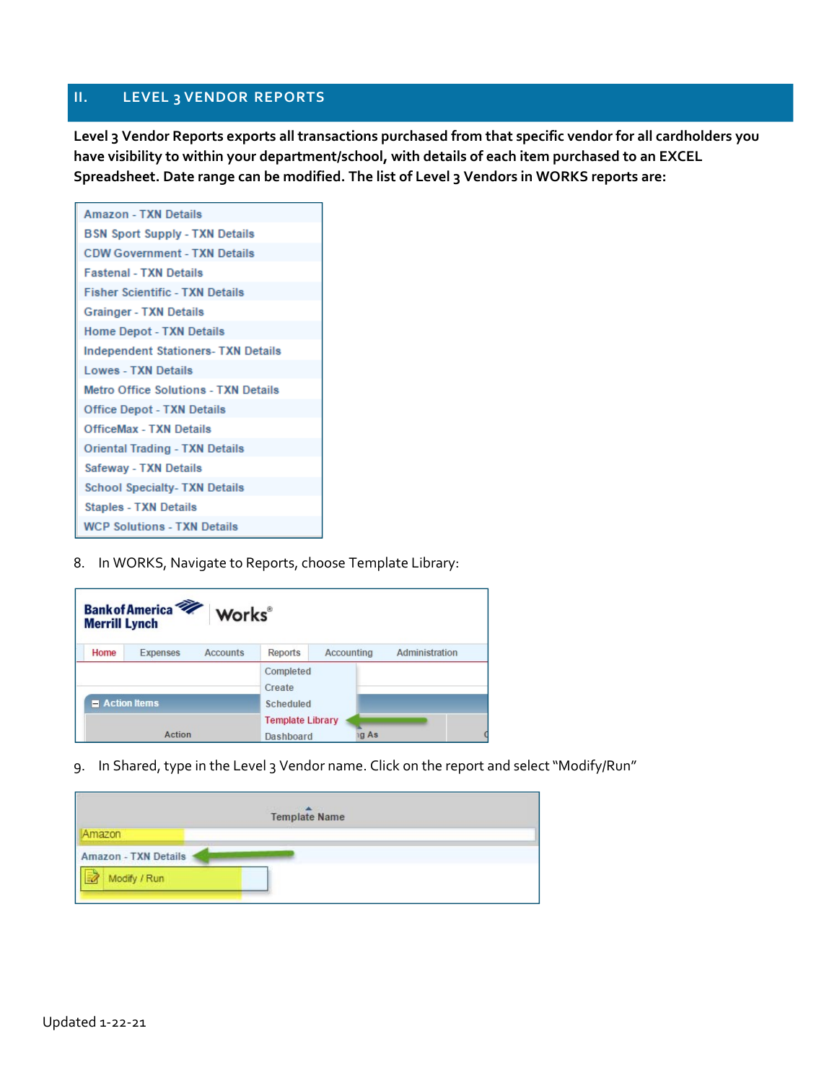## **II. LEVEL 3 VENDOR REPORTS**

**Level 3 Vendor Reports exports all transactions purchased from that specific vendor for all cardholders you have visibility to within your department/school, with details of each item purchased to an EXCEL Spreadsheet. Date range can be modified. The list of Level 3 Vendors in WORKS reports are:**

| <b>Amazon - TXN Details</b>                 |
|---------------------------------------------|
| <b>BSN Sport Supply - TXN Details</b>       |
| <b>CDW Government - TXN Details</b>         |
| <b>Fastenal - TXN Details</b>               |
| <b>Fisher Scientific - TXN Details</b>      |
| <b>Grainger - TXN Details</b>               |
| <b>Home Depot - TXN Details</b>             |
| <b>Independent Stationers-TXN Details</b>   |
| Lowes - TXN Details                         |
| <b>Metro Office Solutions - TXN Details</b> |
| <b>Office Depot - TXN Details</b>           |
| <b>OfficeMax - TXN Details</b>              |
| <b>Oriental Trading - TXN Details</b>       |
| Safeway - TXN Details                       |
| <b>School Specialty-TXN Details</b>         |
| <b>Staples - TXN Details</b>                |
| <b>WCP Solutions - TXN Details</b>          |

8. In WORKS, Navigate to Reports, choose Template Library:

| <b>Bank of America</b><br>Works®<br><b>Merrill Lynch</b> |                             |                                             |            |                |  |  |  |
|----------------------------------------------------------|-----------------------------|---------------------------------------------|------------|----------------|--|--|--|
| Home                                                     | <b>Accounts</b><br>Expenses | <b>Reports</b>                              | Accounting | Administration |  |  |  |
|                                                          |                             | Completed<br>Create                         |            |                |  |  |  |
| <b>Action Items</b>                                      |                             | <b>Scheduled</b><br><b>Template Library</b> |            |                |  |  |  |
|                                                          |                             |                                             |            |                |  |  |  |
|                                                          | Action                      | <b>Dashboard</b>                            | ig As      |                |  |  |  |

9. In Shared, type in the Level 3 Vendor name. Click on the report and select "Modify/Run"

| <b>Template Name</b> |  |  |  |  |  |  |
|----------------------|--|--|--|--|--|--|
| Amazon               |  |  |  |  |  |  |
| Amazon - TXN Details |  |  |  |  |  |  |
| Modify / Run         |  |  |  |  |  |  |
|                      |  |  |  |  |  |  |